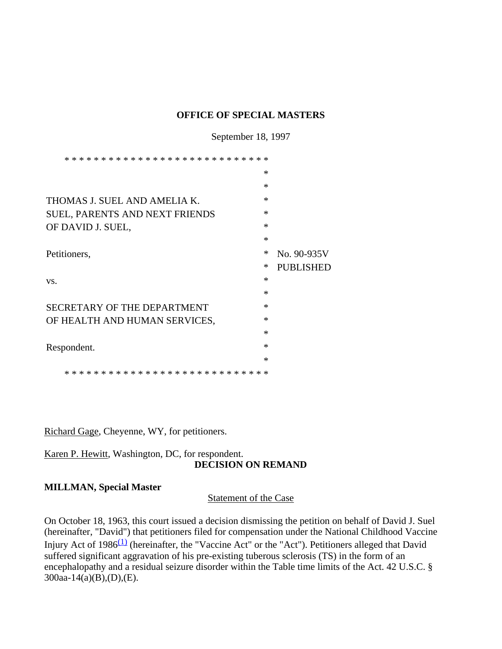#### **OFFICE OF SPECIAL MASTERS**

September 18, 1997

| * * * * * * * * * * * * * * * * * * | ∗      |                  |
|-------------------------------------|--------|------------------|
|                                     | $\ast$ |                  |
|                                     | $\ast$ |                  |
| THOMAS J. SUEL AND AMELIA K.        | $\ast$ |                  |
| SUEL, PARENTS AND NEXT FRIENDS      | $\ast$ |                  |
| OF DAVID J. SUEL,                   | $\ast$ |                  |
|                                     | $\ast$ |                  |
| Petitioners,                        | $\ast$ | No. 90-935V      |
|                                     | ∗      | <b>PUBLISHED</b> |
| VS.                                 | $\ast$ |                  |
|                                     | $\ast$ |                  |
| SECRETARY OF THE DEPARTMENT         | $\ast$ |                  |
| OF HEALTH AND HUMAN SERVICES,       | $\ast$ |                  |
|                                     | $\ast$ |                  |
| Respondent.                         | $\ast$ |                  |
|                                     | $\ast$ |                  |
| ->≿                                 | $* *$  |                  |

Richard Gage, Cheyenne, WY, for petitioners.

### Karen P. Hewitt, Washington, DC, for respondent. **DECISION ON REMAND**

#### **MILLMAN, Special Master**

Statement of the Case

On October 18, 1963, this court issued a decision dismissing the petition on behalf of David J. Suel (hereinafter, "David") that petitioners filed for compensation under the National Childhood Vaccine Injury Act of 1986(1) (hereinafter, the "Vaccine Act" or the "Act"). Petitioners alleged that David suffered significant aggravation of his pre-existing tuberous sclerosis (TS) in the form of an encephalopathy and a residual seizure disorder within the Table time limits of the Act. 42 U.S.C. § 300aa-14(a)(B),(D),(E).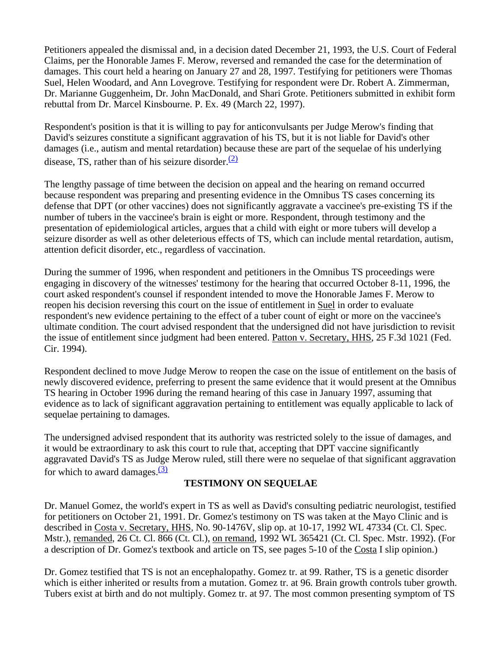Petitioners appealed the dismissal and, in a decision dated December 21, 1993, the U.S. Court of Federal Claims, per the Honorable James F. Merow, reversed and remanded the case for the determination of damages. This court held a hearing on January 27 and 28, 1997. Testifying for petitioners were Thomas Suel, Helen Woodard, and Ann Lovegrove. Testifying for respondent were Dr. Robert A. Zimmerman, Dr. Marianne Guggenheim, Dr. John MacDonald, and Shari Grote. Petitioners submitted in exhibit form rebuttal from Dr. Marcel Kinsbourne. P. Ex. 49 (March 22, 1997).

Respondent's position is that it is willing to pay for anticonvulsants per Judge Merow's finding that David's seizures constitute a significant aggravation of his TS, but it is not liable for David's other damages (i.e., autism and mental retardation) because these are part of the sequelae of his underlying disease, TS, rather than of his seizure disorder. $(2)$ 

The lengthy passage of time between the decision on appeal and the hearing on remand occurred because respondent was preparing and presenting evidence in the Omnibus TS cases concerning its defense that DPT (or other vaccines) does not significantly aggravate a vaccinee's pre-existing TS if the number of tubers in the vaccinee's brain is eight or more. Respondent, through testimony and the presentation of epidemiological articles, argues that a child with eight or more tubers will develop a seizure disorder as well as other deleterious effects of TS, which can include mental retardation, autism, attention deficit disorder, etc., regardless of vaccination.

During the summer of 1996, when respondent and petitioners in the Omnibus TS proceedings were engaging in discovery of the witnesses' testimony for the hearing that occurred October 8-11, 1996, the court asked respondent's counsel if respondent intended to move the Honorable James F. Merow to reopen his decision reversing this court on the issue of entitlement in Suel in order to evaluate respondent's new evidence pertaining to the effect of a tuber count of eight or more on the vaccinee's ultimate condition. The court advised respondent that the undersigned did not have jurisdiction to revisit the issue of entitlement since judgment had been entered. Patton v. Secretary, HHS, 25 F.3d 1021 (Fed. Cir. 1994).

Respondent declined to move Judge Merow to reopen the case on the issue of entitlement on the basis of newly discovered evidence, preferring to present the same evidence that it would present at the Omnibus TS hearing in October 1996 during the remand hearing of this case in January 1997, assuming that evidence as to lack of significant aggravation pertaining to entitlement was equally applicable to lack of sequelae pertaining to damages.

The undersigned advised respondent that its authority was restricted solely to the issue of damages, and it would be extraordinary to ask this court to rule that, accepting that DPT vaccine significantly aggravated David's TS as Judge Merow ruled, still there were no sequelae of that significant aggravation for which to award damages. $(3)$ 

## **TESTIMONY ON SEQUELAE**

Dr. Manuel Gomez, the world's expert in TS as well as David's consulting pediatric neurologist, testified for petitioners on October 21, 1991. Dr. Gomez's testimony on TS was taken at the Mayo Clinic and is described in Costa v. Secretary, HHS, No. 90-1476V, slip op. at 10-17, 1992 WL 47334 (Ct. Cl. Spec. Mstr.), remanded, 26 Ct. Cl. 866 (Ct. Cl.), on remand, 1992 WL 365421 (Ct. Cl. Spec. Mstr. 1992). (For a description of Dr. Gomez's textbook and article on TS, see pages 5-10 of the Costa I slip opinion.)

Dr. Gomez testified that TS is not an encephalopathy. Gomez tr. at 99. Rather, TS is a genetic disorder which is either inherited or results from a mutation. Gomez tr. at 96. Brain growth controls tuber growth. Tubers exist at birth and do not multiply. Gomez tr. at 97. The most common presenting symptom of TS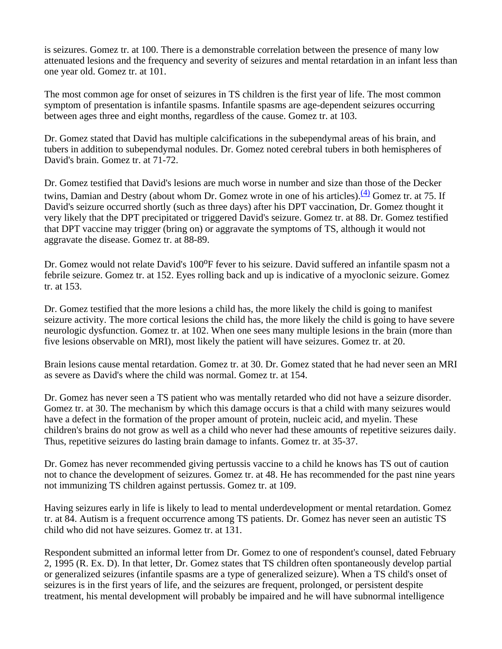is seizures. Gomez tr. at 100. There is a demonstrable correlation between the presence of many low attenuated lesions and the frequency and severity of seizures and mental retardation in an infant less than one year old. Gomez tr. at 101.

The most common age for onset of seizures in TS children is the first year of life. The most common symptom of presentation is infantile spasms. Infantile spasms are age-dependent seizures occurring between ages three and eight months, regardless of the cause. Gomez tr. at 103.

Dr. Gomez stated that David has multiple calcifications in the subependymal areas of his brain, and tubers in addition to subependymal nodules. Dr. Gomez noted cerebral tubers in both hemispheres of David's brain. Gomez tr. at 71-72.

Dr. Gomez testified that David's lesions are much worse in number and size than those of the Decker twins, Damian and Destry (about whom Dr. Gomez wrote in one of his articles).  $\frac{(4)}{4}$  Gomez tr. at 75. If David's seizure occurred shortly (such as three days) after his DPT vaccination, Dr. Gomez thought it very likely that the DPT precipitated or triggered David's seizure. Gomez tr. at 88. Dr. Gomez testified that DPT vaccine may trigger (bring on) or aggravate the symptoms of TS, although it would not aggravate the disease. Gomez tr. at 88-89.

Dr. Gomez would not relate David's 100<sup>o</sup>F fever to his seizure. David suffered an infantile spasm not a febrile seizure. Gomez tr. at 152. Eyes rolling back and up is indicative of a myoclonic seizure. Gomez tr. at 153.

Dr. Gomez testified that the more lesions a child has, the more likely the child is going to manifest seizure activity. The more cortical lesions the child has, the more likely the child is going to have severe neurologic dysfunction. Gomez tr. at 102. When one sees many multiple lesions in the brain (more than five lesions observable on MRI), most likely the patient will have seizures. Gomez tr. at 20.

Brain lesions cause mental retardation. Gomez tr. at 30. Dr. Gomez stated that he had never seen an MRI as severe as David's where the child was normal. Gomez tr. at 154.

Dr. Gomez has never seen a TS patient who was mentally retarded who did not have a seizure disorder. Gomez tr. at 30. The mechanism by which this damage occurs is that a child with many seizures would have a defect in the formation of the proper amount of protein, nucleic acid, and myelin. These children's brains do not grow as well as a child who never had these amounts of repetitive seizures daily. Thus, repetitive seizures do lasting brain damage to infants. Gomez tr. at 35-37.

Dr. Gomez has never recommended giving pertussis vaccine to a child he knows has TS out of caution not to chance the development of seizures. Gomez tr. at 48. He has recommended for the past nine years not immunizing TS children against pertussis. Gomez tr. at 109.

Having seizures early in life is likely to lead to mental underdevelopment or mental retardation. Gomez tr. at 84. Autism is a frequent occurrence among TS patients. Dr. Gomez has never seen an autistic TS child who did not have seizures. Gomez tr. at 131.

Respondent submitted an informal letter from Dr. Gomez to one of respondent's counsel, dated February 2, 1995 (R. Ex. D). In that letter, Dr. Gomez states that TS children often spontaneously develop partial or generalized seizures (infantile spasms are a type of generalized seizure). When a TS child's onset of seizures is in the first years of life, and the seizures are frequent, prolonged, or persistent despite treatment, his mental development will probably be impaired and he will have subnormal intelligence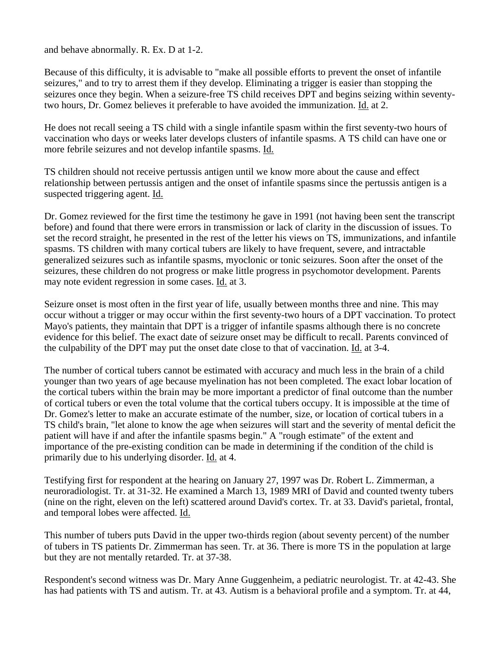and behave abnormally. R. Ex. D at 1-2.

Because of this difficulty, it is advisable to "make all possible efforts to prevent the onset of infantile seizures," and to try to arrest them if they develop. Eliminating a trigger is easier than stopping the seizures once they begin. When a seizure-free TS child receives DPT and begins seizing within seventytwo hours, Dr. Gomez believes it preferable to have avoided the immunization. Id. at 2.

He does not recall seeing a TS child with a single infantile spasm within the first seventy-two hours of vaccination who days or weeks later develops clusters of infantile spasms. A TS child can have one or more febrile seizures and not develop infantile spasms. Id.

TS children should not receive pertussis antigen until we know more about the cause and effect relationship between pertussis antigen and the onset of infantile spasms since the pertussis antigen is a suspected triggering agent. Id.

Dr. Gomez reviewed for the first time the testimony he gave in 1991 (not having been sent the transcript before) and found that there were errors in transmission or lack of clarity in the discussion of issues. To set the record straight, he presented in the rest of the letter his views on TS, immunizations, and infantile spasms. TS children with many cortical tubers are likely to have frequent, severe, and intractable generalized seizures such as infantile spasms, myoclonic or tonic seizures. Soon after the onset of the seizures, these children do not progress or make little progress in psychomotor development. Parents may note evident regression in some cases. Id. at 3.

Seizure onset is most often in the first year of life, usually between months three and nine. This may occur without a trigger or may occur within the first seventy-two hours of a DPT vaccination. To protect Mayo's patients, they maintain that DPT is a trigger of infantile spasms although there is no concrete evidence for this belief. The exact date of seizure onset may be difficult to recall. Parents convinced of the culpability of the DPT may put the onset date close to that of vaccination. Id. at 3-4.

The number of cortical tubers cannot be estimated with accuracy and much less in the brain of a child younger than two years of age because myelination has not been completed. The exact lobar location of the cortical tubers within the brain may be more important a predictor of final outcome than the number of cortical tubers or even the total volume that the cortical tubers occupy. It is impossible at the time of Dr. Gomez's letter to make an accurate estimate of the number, size, or location of cortical tubers in a TS child's brain, "let alone to know the age when seizures will start and the severity of mental deficit the patient will have if and after the infantile spasms begin." A "rough estimate" of the extent and importance of the pre-existing condition can be made in determining if the condition of the child is primarily due to his underlying disorder. Id. at 4.

Testifying first for respondent at the hearing on January 27, 1997 was Dr. Robert L. Zimmerman, a neuroradiologist. Tr. at 31-32. He examined a March 13, 1989 MRI of David and counted twenty tubers (nine on the right, eleven on the left) scattered around David's cortex. Tr. at 33. David's parietal, frontal, and temporal lobes were affected. Id.

This number of tubers puts David in the upper two-thirds region (about seventy percent) of the number of tubers in TS patients Dr. Zimmerman has seen. Tr. at 36. There is more TS in the population at large but they are not mentally retarded. Tr. at 37-38.

Respondent's second witness was Dr. Mary Anne Guggenheim, a pediatric neurologist. Tr. at 42-43. She has had patients with TS and autism. Tr. at 43. Autism is a behavioral profile and a symptom. Tr. at 44,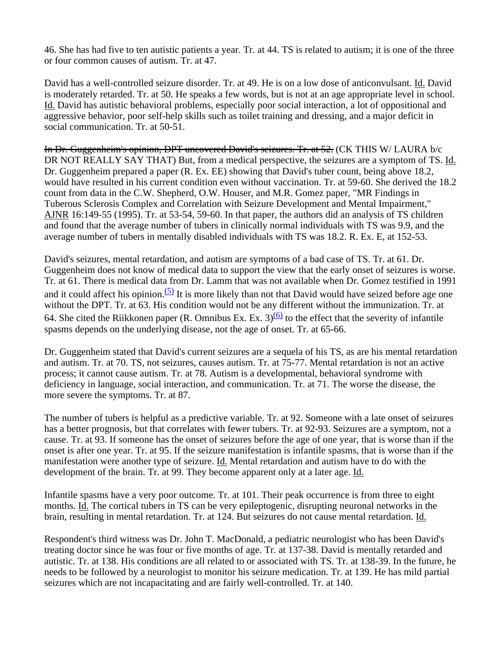46. She has had five to ten autistic patients a year. Tr. at 44. TS is related to autism; it is one of the three or four common causes of autism. Tr. at 47.

David has a well-controlled seizure disorder. Tr. at 49. He is on a low dose of anticonvulsant. Id. David is moderately retarded. Tr. at 50. He speaks a few words, but is not at an age appropriate level in school. Id. David has autistic behavioral problems, especially poor social interaction, a lot of oppositional and aggressive behavior, poor self-help skills such as toilet training and dressing, and a major deficit in social communication. Tr. at 50-51.

In Dr. Guggenheim's opinion, DPT uncovered David's seizures. Tr. at 52. (CK THIS W/ LAURA b/c DR NOT REALLY SAY THAT) But, from a medical perspective, the seizures are a symptom of TS. Id. Dr. Guggenheim prepared a paper (R. Ex. EE) showing that David's tuber count, being above 18.2, would have resulted in his current condition even without vaccination. Tr. at 59-60. She derived the 18.2 count from data in the C.W. Shepherd, O.W. Houser, and M.R. Gomez paper, "MR Findings in Tuberous Sclerosis Complex and Correlation with Seizure Development and Mental Impairment," AJNR 16:149-55 (1995). Tr. at 53-54, 59-60. In that paper, the authors did an analysis of TS children and found that the average number of tubers in clinically normal individuals with TS was 9.9, and the average number of tubers in mentally disabled individuals with TS was 18.2. R. Ex. E, at 152-53.

David's seizures, mental retardation, and autism are symptoms of a bad case of TS. Tr. at 61. Dr. Guggenheim does not know of medical data to support the view that the early onset of seizures is worse. Tr. at 61. There is medical data from Dr. Lamm that was not available when Dr. Gomez testified in 1991 and it could affect his opinion.<sup>(5)</sup> It is more likely than not that David would have seized before age one without the DPT. Tr. at 63. His condition would not be any different without the immunization. Tr. at 64. She cited the Riikkonen paper (R. Omnibus Ex. Ex. 3)<sup>(6)</sup> to the effect that the severity of infantile spasms depends on the underlying disease, not the age of onset. Tr. at 65-66.

Dr. Guggenheim stated that David's current seizures are a sequela of his TS, as are his mental retardation and autism. Tr. at 70. TS, not seizures, causes autism. Tr. at 75-77. Mental retardation is not an active process; it cannot cause autism. Tr. at 78. Autism is a developmental, behavioral syndrome with deficiency in language, social interaction, and communication. Tr. at 71. The worse the disease, the more severe the symptoms. Tr. at 87.

The number of tubers is helpful as a predictive variable. Tr. at 92. Someone with a late onset of seizures has a better prognosis, but that correlates with fewer tubers. Tr. at 92-93. Seizures are a symptom, not a cause. Tr. at 93. If someone has the onset of seizures before the age of one year, that is worse than if the onset is after one year. Tr. at 95. If the seizure manifestation is infantile spasms, that is worse than if the manifestation were another type of seizure. Id. Mental retardation and autism have to do with the development of the brain. Tr. at 99. They become apparent only at a later age. Id.

Infantile spasms have a very poor outcome. Tr. at 101. Their peak occurrence is from three to eight months. Id. The cortical tubers in TS can be very epileptogenic, disrupting neuronal networks in the brain, resulting in mental retardation. Tr. at 124. But seizures do not cause mental retardation. Id.

Respondent's third witness was Dr. John T. MacDonald, a pediatric neurologist who has been David's treating doctor since he was four or five months of age. Tr. at 137-38. David is mentally retarded and autistic. Tr. at 138. His conditions are all related to or associated with TS. Tr. at 138-39. In the future, he needs to be followed by a neurologist to monitor his seizure medication. Tr. at 139. He has mild partial seizures which are not incapacitating and are fairly well-controlled. Tr. at 140.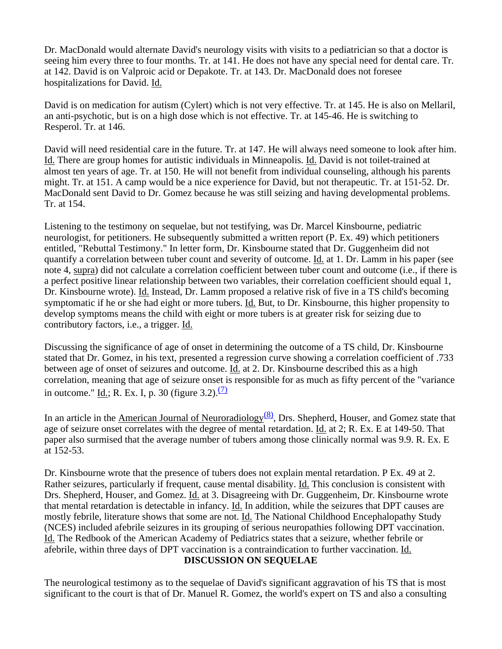Dr. MacDonald would alternate David's neurology visits with visits to a pediatrician so that a doctor is seeing him every three to four months. Tr. at 141. He does not have any special need for dental care. Tr. at 142. David is on Valproic acid or Depakote. Tr. at 143. Dr. MacDonald does not foresee hospitalizations for David. Id.

David is on medication for autism (Cylert) which is not very effective. Tr. at 145. He is also on Mellaril, an anti-psychotic, but is on a high dose which is not effective. Tr. at 145-46. He is switching to Resperol. Tr. at 146.

David will need residential care in the future. Tr. at 147. He will always need someone to look after him. Id. There are group homes for autistic individuals in Minneapolis. Id. David is not toilet-trained at almost ten years of age. Tr. at 150. He will not benefit from individual counseling, although his parents might. Tr. at 151. A camp would be a nice experience for David, but not therapeutic. Tr. at 151-52. Dr. MacDonald sent David to Dr. Gomez because he was still seizing and having developmental problems. Tr. at 154.

Listening to the testimony on sequelae, but not testifying, was Dr. Marcel Kinsbourne, pediatric neurologist, for petitioners. He subsequently submitted a written report (P. Ex. 49) which petitioners entitled, "Rebuttal Testimony." In letter form, Dr. Kinsbourne stated that Dr. Guggenheim did not quantify a correlation between tuber count and severity of outcome. Id. at 1. Dr. Lamm in his paper (see note 4, supra) did not calculate a correlation coefficient between tuber count and outcome (i.e., if there is a perfect positive linear relationship between two variables, their correlation coefficient should equal 1, Dr. Kinsbourne wrote). Id. Instead, Dr. Lamm proposed a relative risk of five in a TS child's becoming symptomatic if he or she had eight or more tubers. Id. But, to Dr. Kinsbourne, this higher propensity to develop symptoms means the child with eight or more tubers is at greater risk for seizing due to contributory factors, i.e., a trigger. Id.

Discussing the significance of age of onset in determining the outcome of a TS child, Dr. Kinsbourne stated that Dr. Gomez, in his text, presented a regression curve showing a correlation coefficient of .733 between age of onset of seizures and outcome. Id. at 2. Dr. Kinsbourne described this as a high correlation, meaning that age of seizure onset is responsible for as much as fifty percent of the "variance in outcome." Id.; R. Ex. I, p. 30 (figure 3.2). $\frac{7}{2}$ 

In an article in the American Journal of Neuroradiology $\frac{(8)}{8}$ , Drs. Shepherd, Houser, and Gomez state that age of seizure onset correlates with the degree of mental retardation. Id. at 2; R. Ex. E at 149-50. That paper also surmised that the average number of tubers among those clinically normal was 9.9. R. Ex. E at 152-53.

Dr. Kinsbourne wrote that the presence of tubers does not explain mental retardation. P Ex. 49 at 2. Rather seizures, particularly if frequent, cause mental disability. Id. This conclusion is consistent with Drs. Shepherd, Houser, and Gomez. Id. at 3. Disagreeing with Dr. Guggenheim, Dr. Kinsbourne wrote that mental retardation is detectable in infancy. Id. In addition, while the seizures that DPT causes are mostly febrile, literature shows that some are not. Id. The National Childhood Encephalopathy Study (NCES) included afebrile seizures in its grouping of serious neuropathies following DPT vaccination. Id. The Redbook of the American Academy of Pediatrics states that a seizure, whether febrile or afebrile, within three days of DPT vaccination is a contraindication to further vaccination. Id.

#### **DISCUSSION ON SEQUELAE**

The neurological testimony as to the sequelae of David's significant aggravation of his TS that is most significant to the court is that of Dr. Manuel R. Gomez, the world's expert on TS and also a consulting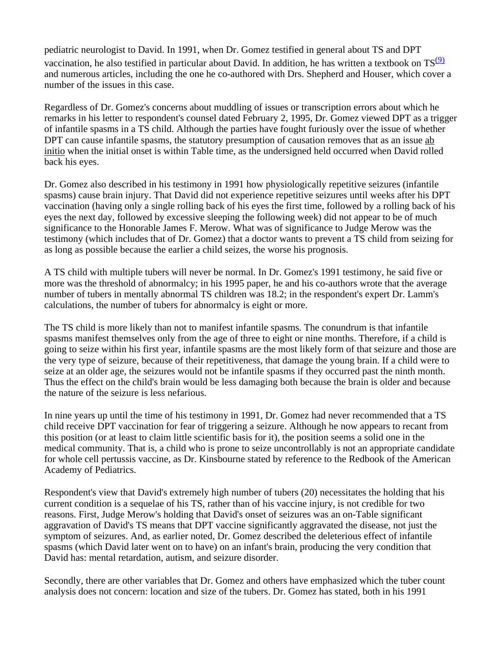pediatric neurologist to David. In 1991, when Dr. Gomez testified in general about TS and DPT vaccination, he also testified in particular about David. In addition, he has written a textbook on  $TS^{(9)}$ and numerous articles, including the one he co-authored with Drs. Shepherd and Houser, which cover a number of the issues in this case.

Regardless of Dr. Gomez's concerns about muddling of issues or transcription errors about which he remarks in his letter to respondent's counsel dated February 2, 1995, Dr. Gomez viewed DPT as a trigger of infantile spasms in a TS child. Although the parties have fought furiously over the issue of whether DPT can cause infantile spasms, the statutory presumption of causation removes that as an issue ab initio when the initial onset is within Table time, as the undersigned held occurred when David rolled back his eyes.

Dr. Gomez also described in his testimony in 1991 how physiologically repetitive seizures (infantile spasms) cause brain injury. That David did not experience repetitive seizures until weeks after his DPT vaccination (having only a single rolling back of his eyes the first time, followed by a rolling back of his eyes the next day, followed by excessive sleeping the following week) did not appear to be of much significance to the Honorable James F. Merow. What was of significance to Judge Merow was the testimony (which includes that of Dr. Gomez) that a doctor wants to prevent a TS child from seizing for as long as possible because the earlier a child seizes, the worse his prognosis.

A TS child with multiple tubers will never be normal. In Dr. Gomez's 1991 testimony, he said five or more was the threshold of abnormalcy; in his 1995 paper, he and his co-authors wrote that the average number of tubers in mentally abnormal TS children was 18.2; in the respondent's expert Dr. Lamm's calculations, the number of tubers for abnormalcy is eight or more.

The TS child is more likely than not to manifest infantile spasms. The conundrum is that infantile spasms manifest themselves only from the age of three to eight or nine months. Therefore, if a child is going to seize within his first year, infantile spasms are the most likely form of that seizure and those are the very type of seizure, because of their repetitiveness, that damage the young brain. If a child were to seize at an older age, the seizures would not be infantile spasms if they occurred past the ninth month. Thus the effect on the child's brain would be less damaging both because the brain is older and because the nature of the seizure is less nefarious.

In nine years up until the time of his testimony in 1991, Dr. Gomez had never recommended that a TS child receive DPT vaccination for fear of triggering a seizure. Although he now appears to recant from this position (or at least to claim little scientific basis for it), the position seems a solid one in the medical community. That is, a child who is prone to seize uncontrollably is not an appropriate candidate for whole cell pertussis vaccine, as Dr. Kinsbourne stated by reference to the Redbook of the American Academy of Pediatrics.

Respondent's view that David's extremely high number of tubers (20) necessitates the holding that his current condition is a sequelae of his TS, rather than of his vaccine injury, is not credible for two reasons. First, Judge Merow's holding that David's onset of seizures was an on-Table significant aggravation of David's TS means that DPT vaccine significantly aggravated the disease, not just the symptom of seizures. And, as earlier noted, Dr. Gomez described the deleterious effect of infantile spasms (which David later went on to have) on an infant's brain, producing the very condition that David has: mental retardation, autism, and seizure disorder.

Secondly, there are other variables that Dr. Gomez and others have emphasized which the tuber count analysis does not concern: location and size of the tubers. Dr. Gomez has stated, both in his 1991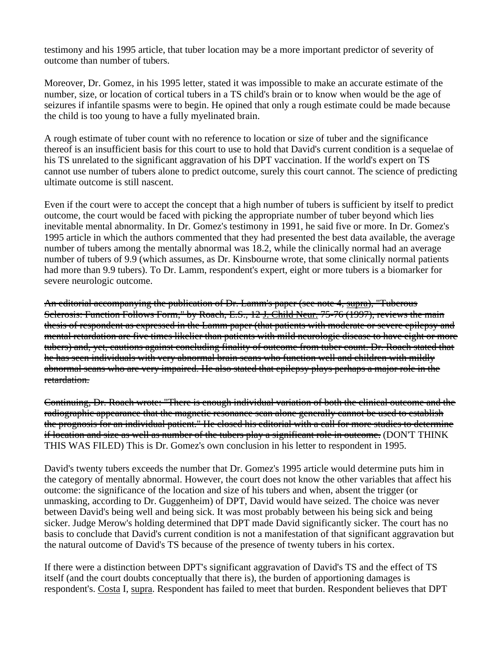testimony and his 1995 article, that tuber location may be a more important predictor of severity of outcome than number of tubers.

Moreover, Dr. Gomez, in his 1995 letter, stated it was impossible to make an accurate estimate of the number, size, or location of cortical tubers in a TS child's brain or to know when would be the age of seizures if infantile spasms were to begin. He opined that only a rough estimate could be made because the child is too young to have a fully myelinated brain.

A rough estimate of tuber count with no reference to location or size of tuber and the significance thereof is an insufficient basis for this court to use to hold that David's current condition is a sequelae of his TS unrelated to the significant aggravation of his DPT vaccination. If the world's expert on TS cannot use number of tubers alone to predict outcome, surely this court cannot. The science of predicting ultimate outcome is still nascent.

Even if the court were to accept the concept that a high number of tubers is sufficient by itself to predict outcome, the court would be faced with picking the appropriate number of tuber beyond which lies inevitable mental abnormality. In Dr. Gomez's testimony in 1991, he said five or more. In Dr. Gomez's 1995 article in which the authors commented that they had presented the best data available, the average number of tubers among the mentally abnormal was 18.2, while the clinically normal had an average number of tubers of 9.9 (which assumes, as Dr. Kinsbourne wrote, that some clinically normal patients had more than 9.9 tubers). To Dr. Lamm, respondent's expert, eight or more tubers is a biomarker for severe neurologic outcome.

An editorial accompanying the publication of Dr. Lamm's paper (see note 4, supra), "Tuberous Sclerosis: Function Follows Form," by Roach, E.S., 12 J. Child Neur. 75-76 (1997), reviews the main thesis of respondent as expressed in the Lamm paper (that patients with moderate or severe epilepsy and mental retardation are five times likelier than patients with mild neurologic disease to have eight or more tubers) and, yet, cautions against concluding finality of outcome from tuber count. Dr. Roach stated that he has seen individuals with very abnormal brain scans who function well and children with mildly abnormal scans who are very impaired. He also stated that epilepsy plays perhaps a major role in the retardation.

Continuing, Dr. Roach wrote: "There is enough individual variation of both the clinical outcome and the radiographic appearance that the magnetic resonance scan alone generally cannot be used to establish the prognosis for an individual patient." He closed his editorial with a call for more studies to determine if location and size as well as number of the tubers play a significant role in outcome. (DON'T THINK THIS WAS FILED) This is Dr. Gomez's own conclusion in his letter to respondent in 1995.

David's twenty tubers exceeds the number that Dr. Gomez's 1995 article would determine puts him in the category of mentally abnormal. However, the court does not know the other variables that affect his outcome: the significance of the location and size of his tubers and when, absent the trigger (or unmasking, according to Dr. Guggenheim) of DPT, David would have seized. The choice was never between David's being well and being sick. It was most probably between his being sick and being sicker. Judge Merow's holding determined that DPT made David significantly sicker. The court has no basis to conclude that David's current condition is not a manifestation of that significant aggravation but the natural outcome of David's TS because of the presence of twenty tubers in his cortex.

If there were a distinction between DPT's significant aggravation of David's TS and the effect of TS itself (and the court doubts conceptually that there is), the burden of apportioning damages is respondent's. Costa I, supra. Respondent has failed to meet that burden. Respondent believes that DPT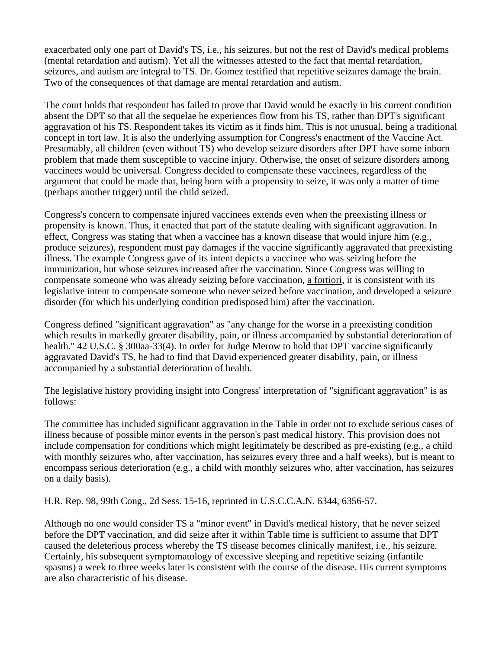exacerbated only one part of David's TS, i.e., his seizures, but not the rest of David's medical problems (mental retardation and autism). Yet all the witnesses attested to the fact that mental retardation, seizures, and autism are integral to TS. Dr. Gomez testified that repetitive seizures damage the brain. Two of the consequences of that damage are mental retardation and autism.

The court holds that respondent has failed to prove that David would be exactly in his current condition absent the DPT so that all the sequelae he experiences flow from his TS, rather than DPT's significant aggravation of his TS. Respondent takes its victim as it finds him. This is not unusual, being a traditional concept in tort law. It is also the underlying assumption for Congress's enactment of the Vaccine Act. Presumably, all children (even without TS) who develop seizure disorders after DPT have some inborn problem that made them susceptible to vaccine injury. Otherwise, the onset of seizure disorders among vaccinees would be universal. Congress decided to compensate these vaccinees, regardless of the argument that could be made that, being born with a propensity to seize, it was only a matter of time (perhaps another trigger) until the child seized.

Congress's concern to compensate injured vaccinees extends even when the preexisting illness or propensity is known. Thus, it enacted that part of the statute dealing with significant aggravation. In effect, Congress was stating that when a vaccinee has a known disease that would injure him (e.g., produce seizures), respondent must pay damages if the vaccine significantly aggravated that preexisting illness. The example Congress gave of its intent depicts a vaccinee who was seizing before the immunization, but whose seizures increased after the vaccination. Since Congress was willing to compensate someone who was already seizing before vaccination, a fortiori, it is consistent with its legislative intent to compensate someone who never seized before vaccination, and developed a seizure disorder (for which his underlying condition predisposed him) after the vaccination.

Congress defined "significant aggravation" as "any change for the worse in a preexisting condition which results in markedly greater disability, pain, or illness accompanied by substantial deterioration of health." 42 U.S.C. § 300aa-33(4). In order for Judge Merow to hold that DPT vaccine significantly aggravated David's TS, he had to find that David experienced greater disability, pain, or illness accompanied by a substantial deterioration of health.

The legislative history providing insight into Congress' interpretation of "significant aggravation" is as follows:

The committee has included significant aggravation in the Table in order not to exclude serious cases of illness because of possible minor events in the person's past medical history. This provision does not include compensation for conditions which might legitimately be described as pre-existing (e.g., a child with monthly seizures who, after vaccination, has seizures every three and a half weeks), but is meant to encompass serious deterioration (e.g., a child with monthly seizures who, after vaccination, has seizures on a daily basis).

H.R. Rep. 98, 99th Cong., 2d Sess. 15-16, reprinted in U.S.C.C.A.N. 6344, 6356-57.

Although no one would consider TS a "minor event" in David's medical history, that he never seized before the DPT vaccination, and did seize after it within Table time is sufficient to assume that DPT caused the deleterious process whereby the TS disease becomes clinically manifest, i.e., his seizure. Certainly, his subsequent symptomatology of excessive sleeping and repetitive seizing (infantile spasms) a week to three weeks later is consistent with the course of the disease. His current symptoms are also characteristic of his disease.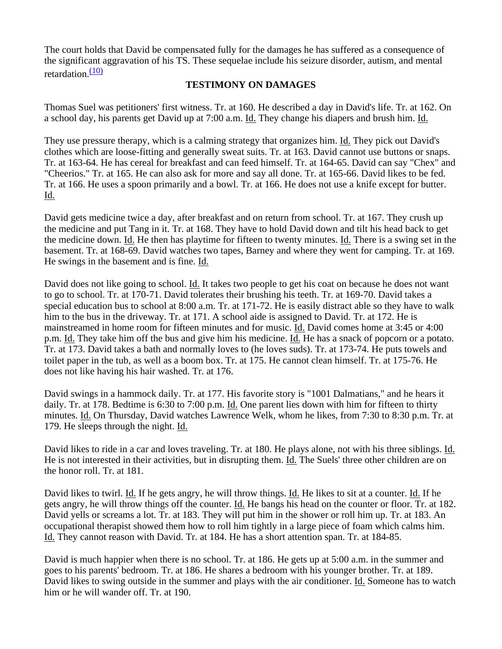The court holds that David be compensated fully for the damages he has suffered as a consequence of the significant aggravation of his TS. These sequelae include his seizure disorder, autism, and mental retardation. $(10)$ 

#### **TESTIMONY ON DAMAGES**

Thomas Suel was petitioners' first witness. Tr. at 160. He described a day in David's life. Tr. at 162. On a school day, his parents get David up at 7:00 a.m. Id. They change his diapers and brush him. Id.

They use pressure therapy, which is a calming strategy that organizes him. Id. They pick out David's clothes which are loose-fitting and generally sweat suits. Tr. at 163. David cannot use buttons or snaps. Tr. at 163-64. He has cereal for breakfast and can feed himself. Tr. at 164-65. David can say "Chex" and "Cheerios." Tr. at 165. He can also ask for more and say all done. Tr. at 165-66. David likes to be fed. Tr. at 166. He uses a spoon primarily and a bowl. Tr. at 166. He does not use a knife except for butter. Id.

David gets medicine twice a day, after breakfast and on return from school. Tr. at 167. They crush up the medicine and put Tang in it. Tr. at 168. They have to hold David down and tilt his head back to get the medicine down. Id. He then has playtime for fifteen to twenty minutes. Id. There is a swing set in the basement. Tr. at 168-69. David watches two tapes, Barney and where they went for camping. Tr. at 169. He swings in the basement and is fine. Id.

David does not like going to school. Id. It takes two people to get his coat on because he does not want to go to school. Tr. at 170-71. David tolerates their brushing his teeth. Tr. at 169-70. David takes a special education bus to school at 8:00 a.m. Tr. at 171-72. He is easily distract able so they have to walk him to the bus in the driveway. Tr. at 171. A school aide is assigned to David. Tr. at 172. He is mainstreamed in home room for fifteen minutes and for music. Id. David comes home at 3:45 or 4:00 p.m. Id. They take him off the bus and give him his medicine. Id. He has a snack of popcorn or a potato. Tr. at 173. David takes a bath and normally loves to (he loves suds). Tr. at 173-74. He puts towels and toilet paper in the tub, as well as a boom box. Tr. at 175. He cannot clean himself. Tr. at 175-76. He does not like having his hair washed. Tr. at 176.

David swings in a hammock daily. Tr. at 177. His favorite story is "1001 Dalmatians," and he hears it daily. Tr. at 178. Bedtime is 6:30 to 7:00 p.m. Id. One parent lies down with him for fifteen to thirty minutes. Id. On Thursday, David watches Lawrence Welk, whom he likes, from 7:30 to 8:30 p.m. Tr. at 179. He sleeps through the night. Id.

David likes to ride in a car and loves traveling. Tr. at 180. He plays alone, not with his three siblings. Id. He is not interested in their activities, but in disrupting them. Id. The Suels' three other children are on the honor roll. Tr. at 181.

David likes to twirl. Id. If he gets angry, he will throw things. Id. He likes to sit at a counter. Id. If he gets angry, he will throw things off the counter. Id. He bangs his head on the counter or floor. Tr. at 182. David yells or screams a lot. Tr. at 183. They will put him in the shower or roll him up. Tr. at 183. An occupational therapist showed them how to roll him tightly in a large piece of foam which calms him. Id. They cannot reason with David. Tr. at 184. He has a short attention span. Tr. at 184-85.

David is much happier when there is no school. Tr. at 186. He gets up at 5:00 a.m. in the summer and goes to his parents' bedroom. Tr. at 186. He shares a bedroom with his younger brother. Tr. at 189. David likes to swing outside in the summer and plays with the air conditioner. Id. Someone has to watch him or he will wander off. Tr. at 190.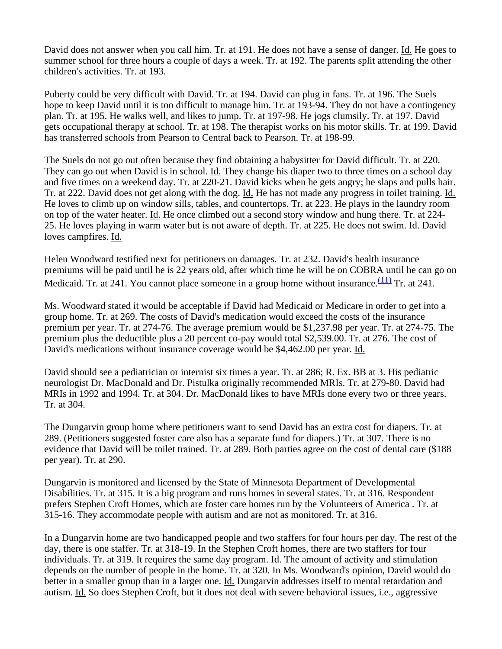David does not answer when you call him. Tr. at 191. He does not have a sense of danger. Id. He goes to summer school for three hours a couple of days a week. Tr. at 192. The parents split attending the other children's activities. Tr. at 193.

Puberty could be very difficult with David. Tr. at 194. David can plug in fans. Tr. at 196. The Suels hope to keep David until it is too difficult to manage him. Tr. at 193-94. They do not have a contingency plan. Tr. at 195. He walks well, and likes to jump. Tr. at 197-98. He jogs clumsily. Tr. at 197. David gets occupational therapy at school. Tr. at 198. The therapist works on his motor skills. Tr. at 199. David has transferred schools from Pearson to Central back to Pearson. Tr. at 198-99.

The Suels do not go out often because they find obtaining a babysitter for David difficult. Tr. at 220. They can go out when David is in school. Id. They change his diaper two to three times on a school day and five times on a weekend day. Tr. at 220-21. David kicks when he gets angry; he slaps and pulls hair. Tr. at 222. David does not get along with the dog. Id. He has not made any progress in toilet training. Id. He loves to climb up on window sills, tables, and countertops. Tr. at 223. He plays in the laundry room on top of the water heater. Id. He once climbed out a second story window and hung there. Tr. at 224- 25. He loves playing in warm water but is not aware of depth. Tr. at 225. He does not swim. Id. David loves campfires. Id.

Helen Woodward testified next for petitioners on damages. Tr. at 232. David's health insurance premiums will be paid until he is 22 years old, after which time he will be on COBRA until he can go on Medicaid. Tr. at 241. You cannot place someone in a group home without insurance.  $(11)$  Tr. at 241.

Ms. Woodward stated it would be acceptable if David had Medicaid or Medicare in order to get into a group home. Tr. at 269. The costs of David's medication would exceed the costs of the insurance premium per year. Tr. at 274-76. The average premium would be \$1,237.98 per year. Tr. at 274-75. The premium plus the deductible plus a 20 percent co-pay would total \$2,539.00. Tr. at 276. The cost of David's medications without insurance coverage would be \$4,462.00 per year. Id.

David should see a pediatrician or internist six times a year. Tr. at 286; R. Ex. BB at 3. His pediatric neurologist Dr. MacDonald and Dr. Pistulka originally recommended MRIs. Tr. at 279-80. David had MRIs in 1992 and 1994. Tr. at 304. Dr. MacDonald likes to have MRIs done every two or three years. Tr. at 304.

The Dungarvin group home where petitioners want to send David has an extra cost for diapers. Tr. at 289. (Petitioners suggested foster care also has a separate fund for diapers.) Tr. at 307. There is no evidence that David will be toilet trained. Tr. at 289. Both parties agree on the cost of dental care (\$188 per year). Tr. at 290.

Dungarvin is monitored and licensed by the State of Minnesota Department of Developmental Disabilities. Tr. at 315. It is a big program and runs homes in several states. Tr. at 316. Respondent prefers Stephen Croft Homes, which are foster care homes run by the Volunteers of America . Tr. at 315-16. They accommodate people with autism and are not as monitored. Tr. at 316.

In a Dungarvin home are two handicapped people and two staffers for four hours per day. The rest of the day, there is one staffer. Tr. at 318-19. In the Stephen Croft homes, there are two staffers for four individuals. Tr. at 319. It requires the same day program. Id. The amount of activity and stimulation depends on the number of people in the home. Tr. at 320. In Ms. Woodward's opinion, David would do better in a smaller group than in a larger one. Id. Dungarvin addresses itself to mental retardation and autism. Id. So does Stephen Croft, but it does not deal with severe behavioral issues, i.e., aggressive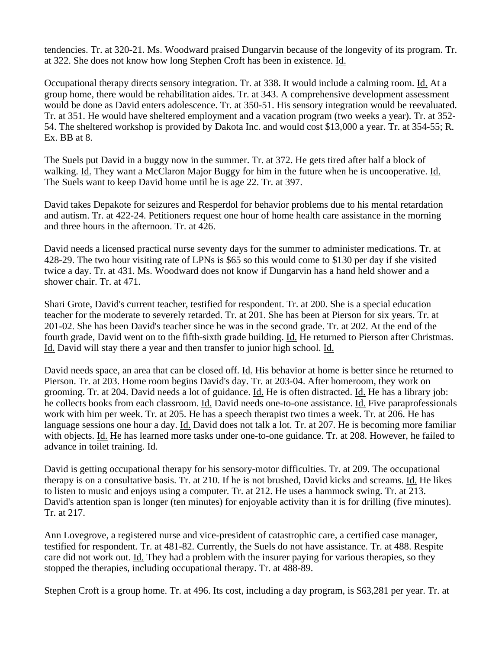tendencies. Tr. at 320-21. Ms. Woodward praised Dungarvin because of the longevity of its program. Tr. at 322. She does not know how long Stephen Croft has been in existence. Id.

Occupational therapy directs sensory integration. Tr. at 338. It would include a calming room. Id. At a group home, there would be rehabilitation aides. Tr. at 343. A comprehensive development assessment would be done as David enters adolescence. Tr. at 350-51. His sensory integration would be reevaluated. Tr. at 351. He would have sheltered employment and a vacation program (two weeks a year). Tr. at 352- 54. The sheltered workshop is provided by Dakota Inc. and would cost \$13,000 a year. Tr. at 354-55; R. Ex. BB at 8.

The Suels put David in a buggy now in the summer. Tr. at 372. He gets tired after half a block of walking. Id. They want a McClaron Major Buggy for him in the future when he is uncooperative. Id. The Suels want to keep David home until he is age 22. Tr. at 397.

David takes Depakote for seizures and Resperdol for behavior problems due to his mental retardation and autism. Tr. at 422-24. Petitioners request one hour of home health care assistance in the morning and three hours in the afternoon. Tr. at 426.

David needs a licensed practical nurse seventy days for the summer to administer medications. Tr. at 428-29. The two hour visiting rate of LPNs is \$65 so this would come to \$130 per day if she visited twice a day. Tr. at 431. Ms. Woodward does not know if Dungarvin has a hand held shower and a shower chair. Tr. at 471.

Shari Grote, David's current teacher, testified for respondent. Tr. at 200. She is a special education teacher for the moderate to severely retarded. Tr. at 201. She has been at Pierson for six years. Tr. at 201-02. She has been David's teacher since he was in the second grade. Tr. at 202. At the end of the fourth grade, David went on to the fifth-sixth grade building. Id. He returned to Pierson after Christmas. Id. David will stay there a year and then transfer to junior high school. Id.

David needs space, an area that can be closed off. Id. His behavior at home is better since he returned to Pierson. Tr. at 203. Home room begins David's day. Tr. at 203-04. After homeroom, they work on grooming. Tr. at 204. David needs a lot of guidance. Id. He is often distracted. Id. He has a library job: he collects books from each classroom. Id. David needs one-to-one assistance. Id. Five paraprofessionals work with him per week. Tr. at 205. He has a speech therapist two times a week. Tr. at 206. He has language sessions one hour a day. Id. David does not talk a lot. Tr. at 207. He is becoming more familiar with objects. Id. He has learned more tasks under one-to-one guidance. Tr. at 208. However, he failed to advance in toilet training. Id.

David is getting occupational therapy for his sensory-motor difficulties. Tr. at 209. The occupational therapy is on a consultative basis. Tr. at 210. If he is not brushed, David kicks and screams. Id. He likes to listen to music and enjoys using a computer. Tr. at 212. He uses a hammock swing. Tr. at 213. David's attention span is longer (ten minutes) for enjoyable activity than it is for drilling (five minutes). Tr. at 217.

Ann Lovegrove, a registered nurse and vice-president of catastrophic care, a certified case manager, testified for respondent. Tr. at 481-82. Currently, the Suels do not have assistance. Tr. at 488. Respite care did not work out. Id. They had a problem with the insurer paying for various therapies, so they stopped the therapies, including occupational therapy. Tr. at 488-89.

Stephen Croft is a group home. Tr. at 496. Its cost, including a day program, is \$63,281 per year. Tr. at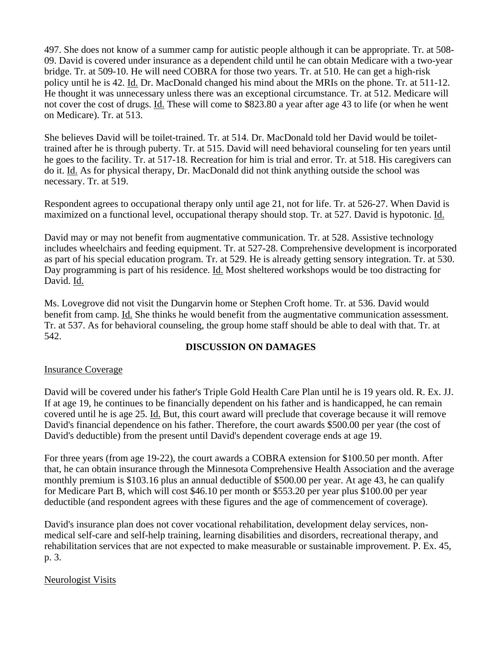497. She does not know of a summer camp for autistic people although it can be appropriate. Tr. at 508- 09. David is covered under insurance as a dependent child until he can obtain Medicare with a two-year bridge. Tr. at 509-10. He will need COBRA for those two years. Tr. at 510. He can get a high-risk policy until he is 42. Id. Dr. MacDonald changed his mind about the MRIs on the phone. Tr. at 511-12. He thought it was unnecessary unless there was an exceptional circumstance. Tr. at 512. Medicare will not cover the cost of drugs. Id. These will come to \$823.80 a year after age 43 to life (or when he went on Medicare). Tr. at 513.

She believes David will be toilet-trained. Tr. at 514. Dr. MacDonald told her David would be toilettrained after he is through puberty. Tr. at 515. David will need behavioral counseling for ten years until he goes to the facility. Tr. at 517-18. Recreation for him is trial and error. Tr. at 518. His caregivers can do it. Id. As for physical therapy, Dr. MacDonald did not think anything outside the school was necessary. Tr. at 519.

Respondent agrees to occupational therapy only until age 21, not for life. Tr. at 526-27. When David is maximized on a functional level, occupational therapy should stop. Tr. at 527. David is hypotonic. Id.

David may or may not benefit from augmentative communication. Tr. at 528. Assistive technology includes wheelchairs and feeding equipment. Tr. at 527-28. Comprehensive development is incorporated as part of his special education program. Tr. at 529. He is already getting sensory integration. Tr. at 530. Day programming is part of his residence. Id. Most sheltered workshops would be too distracting for David. Id.

Ms. Lovegrove did not visit the Dungarvin home or Stephen Croft home. Tr. at 536. David would benefit from camp. Id. She thinks he would benefit from the augmentative communication assessment. Tr. at 537. As for behavioral counseling, the group home staff should be able to deal with that. Tr. at 542.

#### **DISCUSSION ON DAMAGES**

#### Insurance Coverage

David will be covered under his father's Triple Gold Health Care Plan until he is 19 years old. R. Ex. JJ. If at age 19, he continues to be financially dependent on his father and is handicapped, he can remain covered until he is age 25. Id. But, this court award will preclude that coverage because it will remove David's financial dependence on his father. Therefore, the court awards \$500.00 per year (the cost of David's deductible) from the present until David's dependent coverage ends at age 19.

For three years (from age 19-22), the court awards a COBRA extension for \$100.50 per month. After that, he can obtain insurance through the Minnesota Comprehensive Health Association and the average monthly premium is \$103.16 plus an annual deductible of \$500.00 per year. At age 43, he can qualify for Medicare Part B, which will cost \$46.10 per month or \$553.20 per year plus \$100.00 per year deductible (and respondent agrees with these figures and the age of commencement of coverage).

David's insurance plan does not cover vocational rehabilitation, development delay services, nonmedical self-care and self-help training, learning disabilities and disorders, recreational therapy, and rehabilitation services that are not expected to make measurable or sustainable improvement. P. Ex. 45, p. 3.

#### Neurologist Visits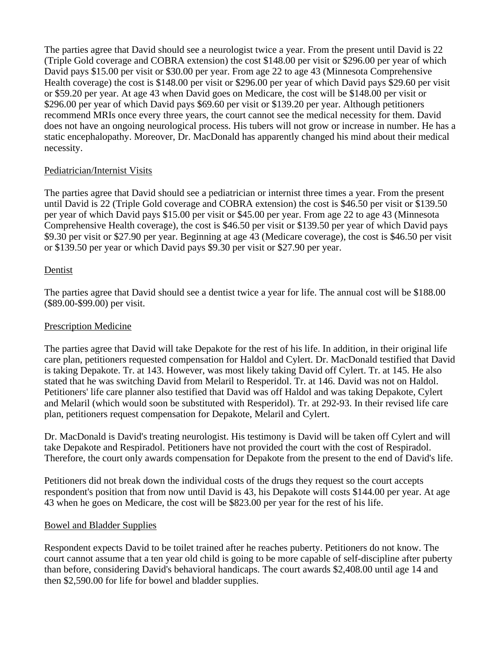The parties agree that David should see a neurologist twice a year. From the present until David is 22 (Triple Gold coverage and COBRA extension) the cost \$148.00 per visit or \$296.00 per year of which David pays \$15.00 per visit or \$30.00 per year. From age 22 to age 43 (Minnesota Comprehensive Health coverage) the cost is \$148.00 per visit or \$296.00 per year of which David pays \$29.60 per visit or \$59.20 per year. At age 43 when David goes on Medicare, the cost will be \$148.00 per visit or \$296.00 per year of which David pays \$69.60 per visit or \$139.20 per year. Although petitioners recommend MRIs once every three years, the court cannot see the medical necessity for them. David does not have an ongoing neurological process. His tubers will not grow or increase in number. He has a static encephalopathy. Moreover, Dr. MacDonald has apparently changed his mind about their medical necessity.

## Pediatrician/Internist Visits

The parties agree that David should see a pediatrician or internist three times a year. From the present until David is 22 (Triple Gold coverage and COBRA extension) the cost is \$46.50 per visit or \$139.50 per year of which David pays \$15.00 per visit or \$45.00 per year. From age 22 to age 43 (Minnesota Comprehensive Health coverage), the cost is \$46.50 per visit or \$139.50 per year of which David pays \$9.30 per visit or \$27.90 per year. Beginning at age 43 (Medicare coverage), the cost is \$46.50 per visit or \$139.50 per year or which David pays \$9.30 per visit or \$27.90 per year.

### Dentist

The parties agree that David should see a dentist twice a year for life. The annual cost will be \$188.00 (\$89.00-\$99.00) per visit.

#### Prescription Medicine

The parties agree that David will take Depakote for the rest of his life. In addition, in their original life care plan, petitioners requested compensation for Haldol and Cylert. Dr. MacDonald testified that David is taking Depakote. Tr. at 143. However, was most likely taking David off Cylert. Tr. at 145. He also stated that he was switching David from Melaril to Resperidol. Tr. at 146. David was not on Haldol. Petitioners' life care planner also testified that David was off Haldol and was taking Depakote, Cylert and Melaril (which would soon be substituted with Resperidol). Tr. at 292-93. In their revised life care plan, petitioners request compensation for Depakote, Melaril and Cylert.

Dr. MacDonald is David's treating neurologist. His testimony is David will be taken off Cylert and will take Depakote and Respiradol. Petitioners have not provided the court with the cost of Respiradol. Therefore, the court only awards compensation for Depakote from the present to the end of David's life.

Petitioners did not break down the individual costs of the drugs they request so the court accepts respondent's position that from now until David is 43, his Depakote will costs \$144.00 per year. At age 43 when he goes on Medicare, the cost will be \$823.00 per year for the rest of his life.

#### Bowel and Bladder Supplies

Respondent expects David to be toilet trained after he reaches puberty. Petitioners do not know. The court cannot assume that a ten year old child is going to be more capable of self-discipline after puberty than before, considering David's behavioral handicaps. The court awards \$2,408.00 until age 14 and then \$2,590.00 for life for bowel and bladder supplies.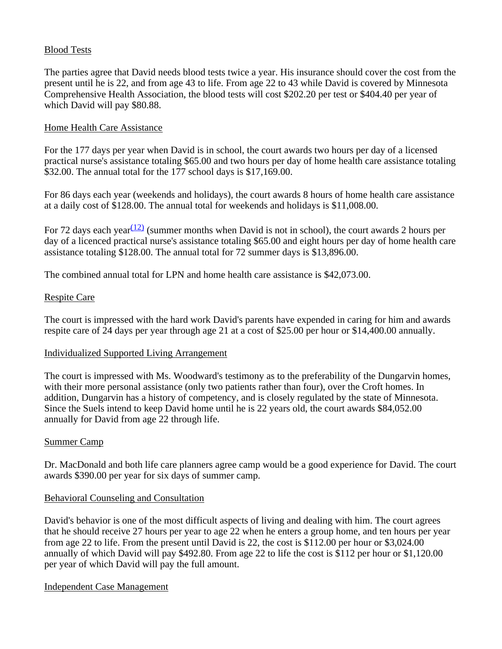## Blood Tests

The parties agree that David needs blood tests twice a year. His insurance should cover the cost from the present until he is 22, and from age 43 to life. From age 22 to 43 while David is covered by Minnesota Comprehensive Health Association, the blood tests will cost \$202.20 per test or \$404.40 per year of which David will pay \$80.88.

#### Home Health Care Assistance

For the 177 days per year when David is in school, the court awards two hours per day of a licensed practical nurse's assistance totaling \$65.00 and two hours per day of home health care assistance totaling \$32.00. The annual total for the 177 school days is \$17,169.00.

For 86 days each year (weekends and holidays), the court awards 8 hours of home health care assistance at a daily cost of \$128.00. The annual total for weekends and holidays is \$11,008.00.

For 72 days each year  $(12)$  (summer months when David is not in school), the court awards 2 hours per day of a licenced practical nurse's assistance totaling \$65.00 and eight hours per day of home health care assistance totaling \$128.00. The annual total for 72 summer days is \$13,896.00.

The combined annual total for LPN and home health care assistance is \$42,073.00.

### Respite Care

The court is impressed with the hard work David's parents have expended in caring for him and awards respite care of 24 days per year through age 21 at a cost of \$25.00 per hour or \$14,400.00 annually.

#### Individualized Supported Living Arrangement

The court is impressed with Ms. Woodward's testimony as to the preferability of the Dungarvin homes, with their more personal assistance (only two patients rather than four), over the Croft homes. In addition, Dungarvin has a history of competency, and is closely regulated by the state of Minnesota. Since the Suels intend to keep David home until he is 22 years old, the court awards \$84,052.00 annually for David from age 22 through life.

#### Summer Camp

Dr. MacDonald and both life care planners agree camp would be a good experience for David. The court awards \$390.00 per year for six days of summer camp.

#### Behavioral Counseling and Consultation

David's behavior is one of the most difficult aspects of living and dealing with him. The court agrees that he should receive 27 hours per year to age 22 when he enters a group home, and ten hours per year from age 22 to life. From the present until David is 22, the cost is \$112.00 per hour or \$3,024.00 annually of which David will pay \$492.80. From age 22 to life the cost is \$112 per hour or \$1,120.00 per year of which David will pay the full amount.

Independent Case Management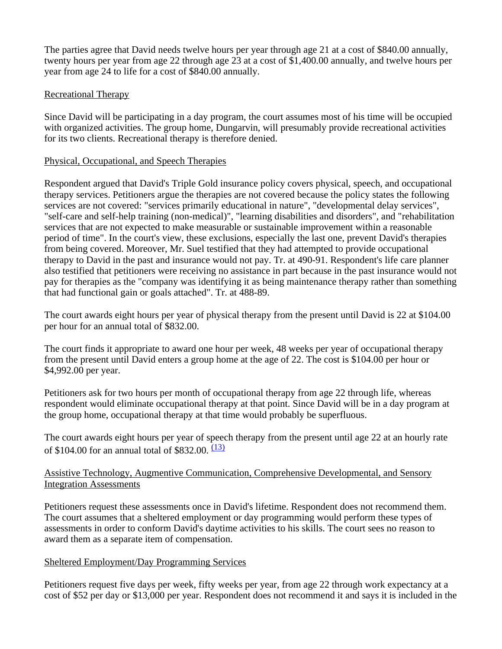The parties agree that David needs twelve hours per year through age 21 at a cost of \$840.00 annually, twenty hours per year from age 22 through age 23 at a cost of \$1,400.00 annually, and twelve hours per year from age 24 to life for a cost of \$840.00 annually.

### Recreational Therapy

Since David will be participating in a day program, the court assumes most of his time will be occupied with organized activities. The group home, Dungarvin, will presumably provide recreational activities for its two clients. Recreational therapy is therefore denied.

### Physical, Occupational, and Speech Therapies

Respondent argued that David's Triple Gold insurance policy covers physical, speech, and occupational therapy services. Petitioners argue the therapies are not covered because the policy states the following services are not covered: "services primarily educational in nature", "developmental delay services", "self-care and self-help training (non-medical)", "learning disabilities and disorders", and "rehabilitation services that are not expected to make measurable or sustainable improvement within a reasonable period of time". In the court's view, these exclusions, especially the last one, prevent David's therapies from being covered. Moreover, Mr. Suel testified that they had attempted to provide occupational therapy to David in the past and insurance would not pay. Tr. at 490-91. Respondent's life care planner also testified that petitioners were receiving no assistance in part because in the past insurance would not pay for therapies as the "company was identifying it as being maintenance therapy rather than something that had functional gain or goals attached". Tr. at 488-89.

The court awards eight hours per year of physical therapy from the present until David is 22 at \$104.00 per hour for an annual total of \$832.00.

The court finds it appropriate to award one hour per week, 48 weeks per year of occupational therapy from the present until David enters a group home at the age of 22. The cost is \$104.00 per hour or \$4,992.00 per year.

Petitioners ask for two hours per month of occupational therapy from age 22 through life, whereas respondent would eliminate occupational therapy at that point. Since David will be in a day program at the group home, occupational therapy at that time would probably be superfluous.

The court awards eight hours per year of speech therapy from the present until age 22 at an hourly rate of \$104.00 for an annual total of \$832.00.  $(13)$ 

## Assistive Technology, Augmentive Communication, Comprehensive Developmental, and Sensory Integration Assessments

Petitioners request these assessments once in David's lifetime. Respondent does not recommend them. The court assumes that a sheltered employment or day programming would perform these types of assessments in order to conform David's daytime activities to his skills. The court sees no reason to award them as a separate item of compensation.

## Sheltered Employment/Day Programming Services

Petitioners request five days per week, fifty weeks per year, from age 22 through work expectancy at a cost of \$52 per day or \$13,000 per year. Respondent does not recommend it and says it is included in the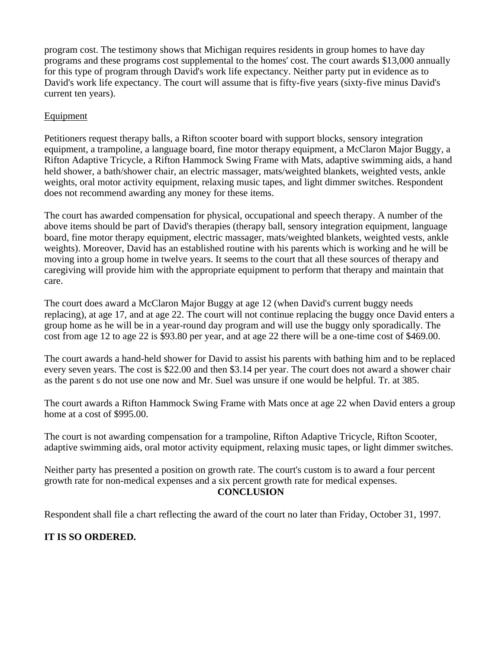program cost. The testimony shows that Michigan requires residents in group homes to have day programs and these programs cost supplemental to the homes' cost. The court awards \$13,000 annually for this type of program through David's work life expectancy. Neither party put in evidence as to David's work life expectancy. The court will assume that is fifty-five years (sixty-five minus David's current ten years).

### Equipment

Petitioners request therapy balls, a Rifton scooter board with support blocks, sensory integration equipment, a trampoline, a language board, fine motor therapy equipment, a McClaron Major Buggy, a Rifton Adaptive Tricycle, a Rifton Hammock Swing Frame with Mats, adaptive swimming aids, a hand held shower, a bath/shower chair, an electric massager, mats/weighted blankets, weighted vests, ankle weights, oral motor activity equipment, relaxing music tapes, and light dimmer switches. Respondent does not recommend awarding any money for these items.

The court has awarded compensation for physical, occupational and speech therapy. A number of the above items should be part of David's therapies (therapy ball, sensory integration equipment, language board, fine motor therapy equipment, electric massager, mats/weighted blankets, weighted vests, ankle weights). Moreover, David has an established routine with his parents which is working and he will be moving into a group home in twelve years. It seems to the court that all these sources of therapy and caregiving will provide him with the appropriate equipment to perform that therapy and maintain that care.

The court does award a McClaron Major Buggy at age 12 (when David's current buggy needs replacing), at age 17, and at age 22. The court will not continue replacing the buggy once David enters a group home as he will be in a year-round day program and will use the buggy only sporadically. The cost from age 12 to age 22 is \$93.80 per year, and at age 22 there will be a one-time cost of \$469.00.

The court awards a hand-held shower for David to assist his parents with bathing him and to be replaced every seven years. The cost is \$22.00 and then \$3.14 per year. The court does not award a shower chair as the parent s do not use one now and Mr. Suel was unsure if one would be helpful. Tr. at 385.

The court awards a Rifton Hammock Swing Frame with Mats once at age 22 when David enters a group home at a cost of \$995.00.

The court is not awarding compensation for a trampoline, Rifton Adaptive Tricycle, Rifton Scooter, adaptive swimming aids, oral motor activity equipment, relaxing music tapes, or light dimmer switches.

Neither party has presented a position on growth rate. The court's custom is to award a four percent growth rate for non-medical expenses and a six percent growth rate for medical expenses. **CONCLUSION**

Respondent shall file a chart reflecting the award of the court no later than Friday, October 31, 1997.

# **IT IS SO ORDERED.**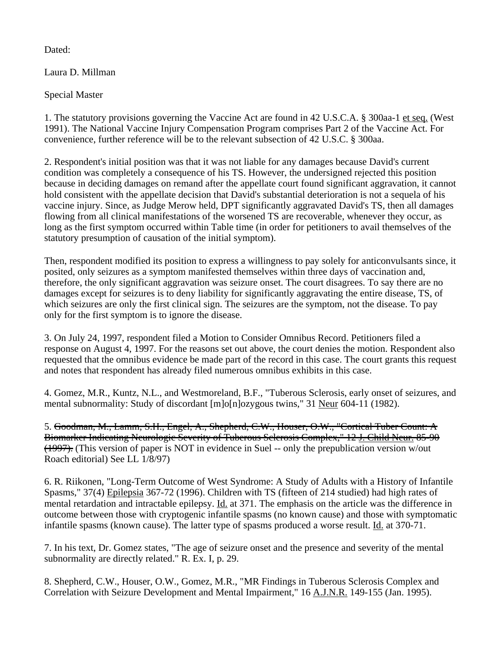Dated:

Laura D. Millman

Special Master

1. The statutory provisions governing the Vaccine Act are found in 42 U.S.C.A. § 300aa-1 et seq. (West 1991). The National Vaccine Injury Compensation Program comprises Part 2 of the Vaccine Act. For convenience, further reference will be to the relevant subsection of 42 U.S.C. § 300aa.

2. Respondent's initial position was that it was not liable for any damages because David's current condition was completely a consequence of his TS. However, the undersigned rejected this position because in deciding damages on remand after the appellate court found significant aggravation, it cannot hold consistent with the appellate decision that David's substantial deterioration is not a sequela of his vaccine injury. Since, as Judge Merow held, DPT significantly aggravated David's TS, then all damages flowing from all clinical manifestations of the worsened TS are recoverable, whenever they occur, as long as the first symptom occurred within Table time (in order for petitioners to avail themselves of the statutory presumption of causation of the initial symptom).

Then, respondent modified its position to express a willingness to pay solely for anticonvulsants since, it posited, only seizures as a symptom manifested themselves within three days of vaccination and, therefore, the only significant aggravation was seizure onset. The court disagrees. To say there are no damages except for seizures is to deny liability for significantly aggravating the entire disease, TS, of which seizures are only the first clinical sign. The seizures are the symptom, not the disease. To pay only for the first symptom is to ignore the disease.

3. On July 24, 1997, respondent filed a Motion to Consider Omnibus Record. Petitioners filed a response on August 4, 1997. For the reasons set out above, the court denies the motion. Respondent also requested that the omnibus evidence be made part of the record in this case. The court grants this request and notes that respondent has already filed numerous omnibus exhibits in this case.

4. Gomez, M.R., Kuntz, N.L., and Westmoreland, B.F., "Tuberous Sclerosis, early onset of seizures, and mental subnormality: Study of discordant [m]o[n]ozygous twins," 31 Neur 604-11 (1982).

5. Goodman, M., Lamm, S.H., Engel, A., Shepherd, C.W., Houser, O.W., "Cortical Tuber Count: A Biomarker Indicating Neurologic Severity of Tuberous Sclerosis Complex," 12 J. Child Neur. 85-90 (1997). (This version of paper is NOT in evidence in Suel -- only the prepublication version w/out Roach editorial) See LL 1/8/97)

6. R. Riikonen, "Long-Term Outcome of West Syndrome: A Study of Adults with a History of Infantile Spasms," 37(4) Epilepsia 367-72 (1996). Children with TS (fifteen of 214 studied) had high rates of mental retardation and intractable epilepsy. Id. at 371. The emphasis on the article was the difference in outcome between those with cryptogenic infantile spasms (no known cause) and those with symptomatic infantile spasms (known cause). The latter type of spasms produced a worse result. Id. at 370-71.

7. In his text, Dr. Gomez states, "The age of seizure onset and the presence and severity of the mental subnormality are directly related." R. Ex. I, p. 29.

8. Shepherd, C.W., Houser, O.W., Gomez, M.R., "MR Findings in Tuberous Sclerosis Complex and Correlation with Seizure Development and Mental Impairment," 16 A.J.N.R. 149-155 (Jan. 1995).